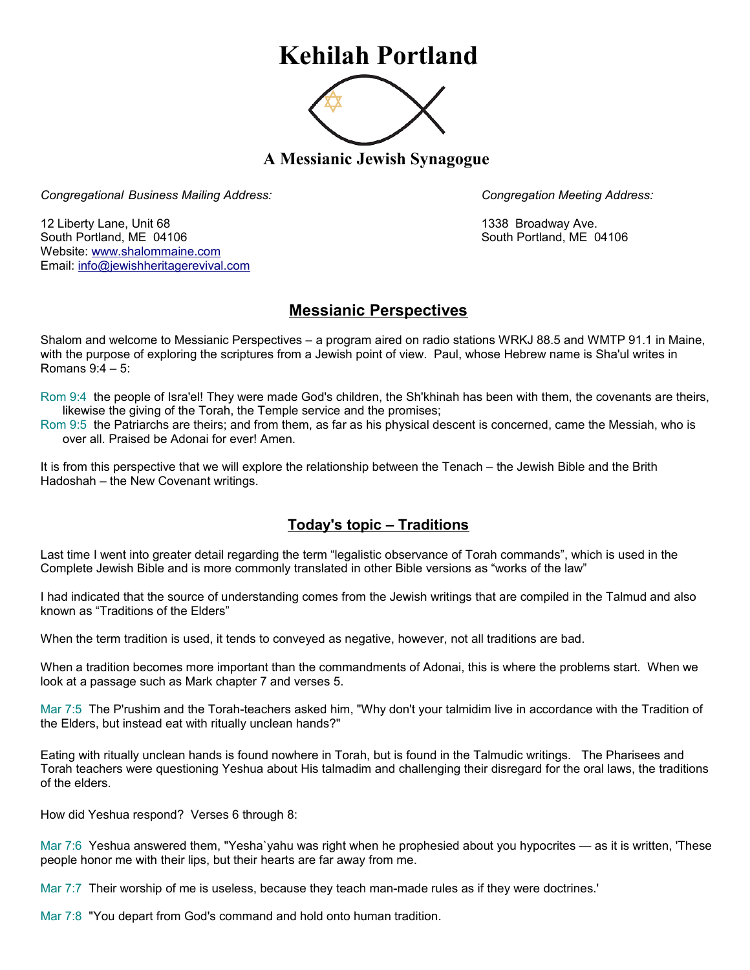## **Kehilah Portland**



**A Messianic Jewish Synagogue** 

*Congregational Business Mailing Address: Congregation Meeting Address:*

12 Liberty Lane, Unit 68 1338 Broadway Ave. South Portland, ME 04106 South Portland, ME 04106 Website: [www.shalommaine.com](http://www.shalommaine.com/) Email: [info@jewishheritagerevival.com](mailto:info@jewishheritagerevival.com) 

## **Messianic Perspectives**

Shalom and welcome to Messianic Perspectives – a program aired on radio stations WRKJ 88.5 and WMTP 91.1 in Maine, with the purpose of exploring the scriptures from a Jewish point of view. Paul, whose Hebrew name is Sha'ul writes in Romans 9:4 – 5:

Rom 9:4 the people of Isra'el! They were made God's children, the Sh'khinah has been with them, the covenants are theirs, likewise the giving of the Torah, the Temple service and the promises;

Rom 9:5 the Patriarchs are theirs; and from them, as far as his physical descent is concerned, came the Messiah, who is over all. Praised be Adonai for ever! Amen.

It is from this perspective that we will explore the relationship between the Tenach – the Jewish Bible and the Brith Hadoshah – the New Covenant writings.

## **Today's topic – Traditions**

Last time I went into greater detail regarding the term "legalistic observance of Torah commands", which is used in the Complete Jewish Bible and is more commonly translated in other Bible versions as "works of the law"

I had indicated that the source of understanding comes from the Jewish writings that are compiled in the Talmud and also known as "Traditions of the Elders"

When the term tradition is used, it tends to conveyed as negative, however, not all traditions are bad.

When a tradition becomes more important than the commandments of Adonai, this is where the problems start. When we look at a passage such as Mark chapter 7 and verses 5.

Mar 7:5 The P'rushim and the Torah-teachers asked him, "Why don't your talmidim live in accordance with the Tradition of the Elders, but instead eat with ritually unclean hands?"

Eating with ritually unclean hands is found nowhere in Torah, but is found in the Talmudic writings. The Pharisees and Torah teachers were questioning Yeshua about His talmadim and challenging their disregard for the oral laws, the traditions of the elders.

How did Yeshua respond? Verses 6 through 8:

Mar 7:6 Yeshua answered them, "Yesha`yahu was right when he prophesied about you hypocrites — as it is written, 'These people honor me with their lips, but their hearts are far away from me.

Mar 7:7 Their worship of me is useless, because they teach man-made rules as if they were doctrines.'

Mar 7:8 "You depart from God's command and hold onto human tradition.